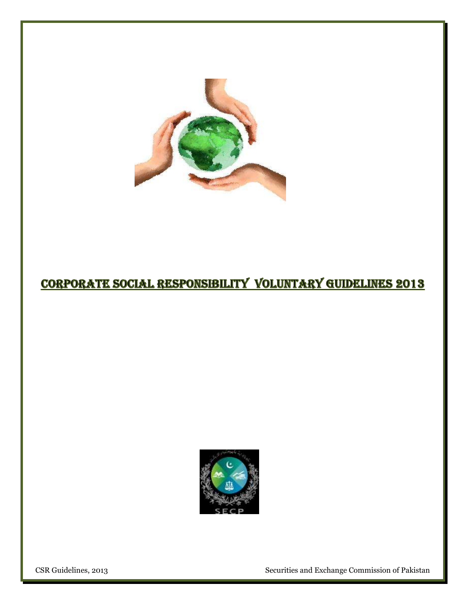

# **CORPORATE SOCIAL RESPONSIBILITY VOLUNTARY GUIDELINES 2013**



CSR Guidelines, 2013 Securities and Exchange Commission of Pakistan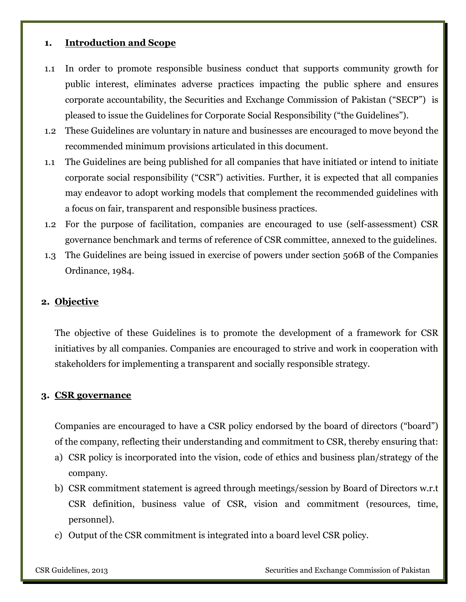### **1. Introduction and Scope**

- 1.1 In order to promote responsible business conduct that supports community growth for public interest, eliminates adverse practices impacting the public sphere and ensures corporate accountability, the Securities and Exchange Commission of Pakistan ("SECP") is pleased to issue the Guidelines for Corporate Social Responsibility ("the Guidelines").
- 1.2 These Guidelines are voluntary in nature and businesses are encouraged to move beyond the recommended minimum provisions articulated in this document.
- 1.1 The Guidelines are being published for all companies that have initiated or intend to initiate corporate social responsibility ("CSR") activities. Further, it is expected that all companies may endeavor to adopt working models that complement the recommended guidelines with a focus on fair, transparent and responsible business practices.
- 1.2 For the purpose of facilitation, companies are encouraged to use (self-assessment) CSR governance benchmark and terms of reference of CSR committee, annexed to the guidelines.
- 1.3 The Guidelines are being issued in exercise of powers under section 506B of the Companies Ordinance, 1984.

### **2. Objective**

The objective of these Guidelines is to promote the development of a framework for CSR initiatives by all companies. Companies are encouraged to strive and work in cooperation with stakeholders for implementing a transparent and socially responsible strategy.

### **3. CSR governance**

Companies are encouraged to have a CSR policy endorsed by the board of directors ("board") of the company, reflecting their understanding and commitment to CSR, thereby ensuring that:

- a) CSR policy is incorporated into the vision, code of ethics and business plan/strategy of the company.
- b) CSR commitment statement is agreed through meetings/session by Board of Directors w.r.t CSR definition, business value of CSR, vision and commitment (resources, time, personnel).
- c) Output of the CSR commitment is integrated into a board level CSR policy.

CSR Guidelines, 2013 Securities and Exchange Commission of Pakistan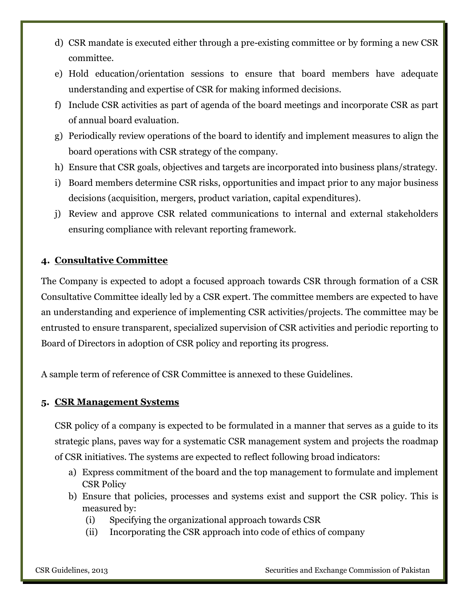- d) CSR mandate is executed either through a pre-existing committee or by forming a new CSR committee.
- e) Hold education/orientation sessions to ensure that board members have adequate understanding and expertise of CSR for making informed decisions.
- f) Include CSR activities as part of agenda of the board meetings and incorporate CSR as part of annual board evaluation.
- g) Periodically review operations of the board to identify and implement measures to align the board operations with CSR strategy of the company.
- h) Ensure that CSR goals, objectives and targets are incorporated into business plans/strategy.
- i) Board members determine CSR risks, opportunities and impact prior to any major business decisions (acquisition, mergers, product variation, capital expenditures).
- j) Review and approve CSR related communications to internal and external stakeholders ensuring compliance with relevant reporting framework.

## **4. Consultative Committee**

The Company is expected to adopt a focused approach towards CSR through formation of a CSR Consultative Committee ideally led by a CSR expert. The committee members are expected to have an understanding and experience of implementing CSR activities/projects. The committee may be entrusted to ensure transparent, specialized supervision of CSR activities and periodic reporting to Board of Directors in adoption of CSR policy and reporting its progress.

A sample term of reference of CSR Committee is annexed to these Guidelines.

### **5. CSR Management Systems**

CSR policy of a company is expected to be formulated in a manner that serves as a guide to its strategic plans, paves way for a systematic CSR management system and projects the roadmap of CSR initiatives. The systems are expected to reflect following broad indicators:

- a) Express commitment of the board and the top management to formulate and implement CSR Policy
- b) Ensure that policies, processes and systems exist and support the CSR policy. This is measured by:
	- (i) Specifying the organizational approach towards CSR
	- (ii) Incorporating the CSR approach into code of ethics of company

CSR Guidelines, 2013 Securities and Exchange Commission of Pakistan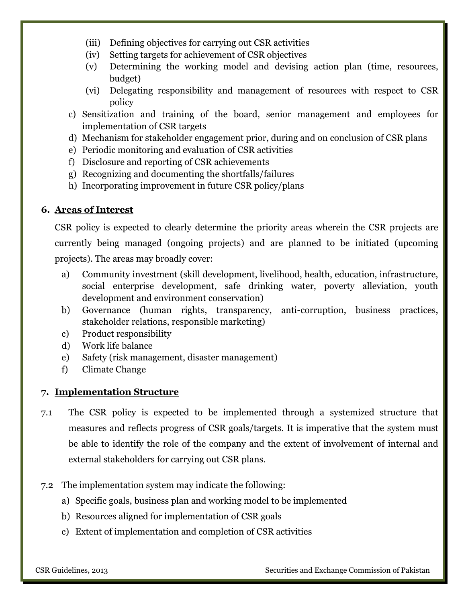- (iii) Defining objectives for carrying out CSR activities
- (iv) Setting targets for achievement of CSR objectives
- (v) Determining the working model and devising action plan (time, resources, budget)
- (vi) Delegating responsibility and management of resources with respect to CSR policy
- c) Sensitization and training of the board, senior management and employees for implementation of CSR targets
- d) Mechanism for stakeholder engagement prior, during and on conclusion of CSR plans
- e) Periodic monitoring and evaluation of CSR activities
- f) Disclosure and reporting of CSR achievements
- g) Recognizing and documenting the shortfalls/failures
- h) Incorporating improvement in future CSR policy/plans

### **6. Areas of Interest**

CSR policy is expected to clearly determine the priority areas wherein the CSR projects are currently being managed (ongoing projects) and are planned to be initiated (upcoming projects). The areas may broadly cover:

- a) Community investment (skill development, livelihood, health, education, infrastructure, social enterprise development, safe drinking water, poverty alleviation, youth development and environment conservation)
- b) Governance (human rights, transparency, anti-corruption, business practices, stakeholder relations, responsible marketing)
- c) Product responsibility
- d) Work life balance
- e) Safety (risk management, disaster management)
- f) Climate Change

## **7. Implementation Structure**

- 7.1 The CSR policy is expected to be implemented through a systemized structure that measures and reflects progress of CSR goals/targets. It is imperative that the system must be able to identify the role of the company and the extent of involvement of internal and external stakeholders for carrying out CSR plans.
- 7.2 The implementation system may indicate the following:
	- a) Specific goals, business plan and working model to be implemented
	- b) Resources aligned for implementation of CSR goals
	- c) Extent of implementation and completion of CSR activities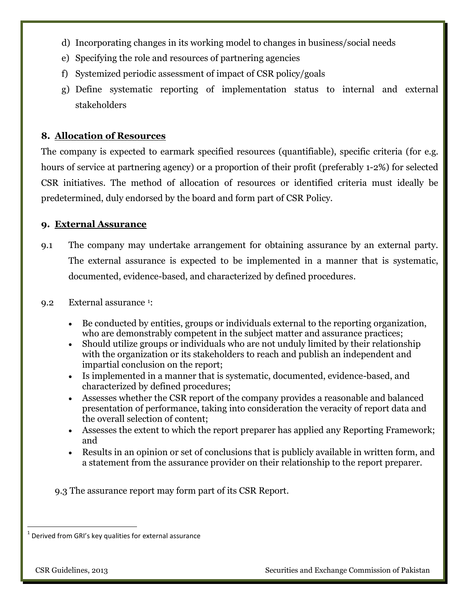- d) Incorporating changes in its working model to changes in business/social needs
- e) Specifying the role and resources of partnering agencies
- f) Systemized periodic assessment of impact of CSR policy/goals
- g) Define systematic reporting of implementation status to internal and external stakeholders

## **8. Allocation of Resources**

The company is expected to earmark specified resources (quantifiable), specific criteria (for e.g. hours of service at partnering agency) or a proportion of their profit (preferably 1-2%) for selected CSR initiatives. The method of allocation of resources or identified criteria must ideally be predetermined, duly endorsed by the board and form part of CSR Policy.

## **9. External Assurance**

- 9.1 The company may undertake arrangement for obtaining assurance by an external party. The external assurance is expected to be implemented in a manner that is systematic, documented, evidence-based, and characterized by defined procedures.
- 9.2 External assurance <sup>1</sup> :
	- Be conducted by entities, groups or individuals external to the reporting organization, who are demonstrably competent in the subject matter and assurance practices;
	- Should utilize groups or individuals who are not unduly limited by their relationship with the organization or its stakeholders to reach and publish an independent and impartial conclusion on the report;
	- Is implemented in a manner that is systematic, documented, evidence-based, and characterized by defined procedures;
	- Assesses whether the CSR report of the company provides a reasonable and balanced presentation of performance, taking into consideration the veracity of report data and the overall selection of content;
	- Assesses the extent to which the report preparer has applied any Reporting Framework; and
	- Results in an opinion or set of conclusions that is publicly available in written form, and a statement from the assurance provider on their relationship to the report preparer.

9.3 The assurance report may form part of its CSR Report.

 $\overline{a}$ 

 $^{1}$  Derived from GRI's key qualities for external assurance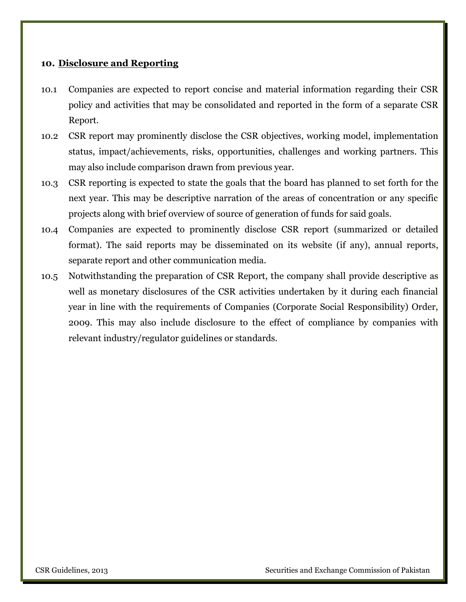### **10. Disclosure and Reporting**

- 10.1 Companies are expected to report concise and material information regarding their CSR policy and activities that may be consolidated and reported in the form of a separate CSR Report.
- 10.2 CSR report may prominently disclose the CSR objectives, working model, implementation status, impact/achievements, risks, opportunities, challenges and working partners. This may also include comparison drawn from previous year.
- 10.3 CSR reporting is expected to state the goals that the board has planned to set forth for the next year. This may be descriptive narration of the areas of concentration or any specific projects along with brief overview of source of generation of funds for said goals.
- 10.4 Companies are expected to prominently disclose CSR report (summarized or detailed format). The said reports may be disseminated on its website (if any), annual reports, separate report and other communication media.
- 10.5 Notwithstanding the preparation of CSR Report, the company shall provide descriptive as well as monetary disclosures of the CSR activities undertaken by it during each financial year in line with the requirements of Companies (Corporate Social Responsibility) Order, 2009. This may also include disclosure to the effect of compliance by companies with relevant industry/regulator guidelines or standards.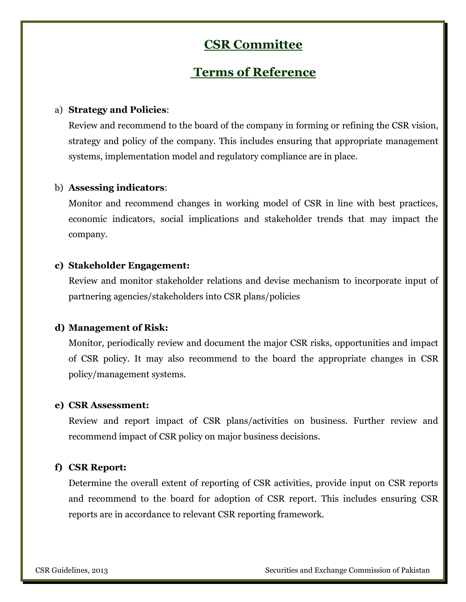# **CSR Committee**

## **Terms of Reference**

### a) **Strategy and Policies**:

Review and recommend to the board of the company in forming or refining the CSR vision, strategy and policy of the company. This includes ensuring that appropriate management systems, implementation model and regulatory compliance are in place.

### b) **Assessing indicators**:

Monitor and recommend changes in working model of CSR in line with best practices, economic indicators, social implications and stakeholder trends that may impact the company.

### **c) Stakeholder Engagement:**

Review and monitor stakeholder relations and devise mechanism to incorporate input of partnering agencies/stakeholders into CSR plans/policies

#### **d) Management of Risk:**

Monitor, periodically review and document the major CSR risks, opportunities and impact of CSR policy. It may also recommend to the board the appropriate changes in CSR policy/management systems.

#### **e) CSR Assessment:**

Review and report impact of CSR plans/activities on business. Further review and recommend impact of CSR policy on major business decisions.

### **f) CSR Report:**

Determine the overall extent of reporting of CSR activities, provide input on CSR reports and recommend to the board for adoption of CSR report. This includes ensuring CSR reports are in accordance to relevant CSR reporting framework.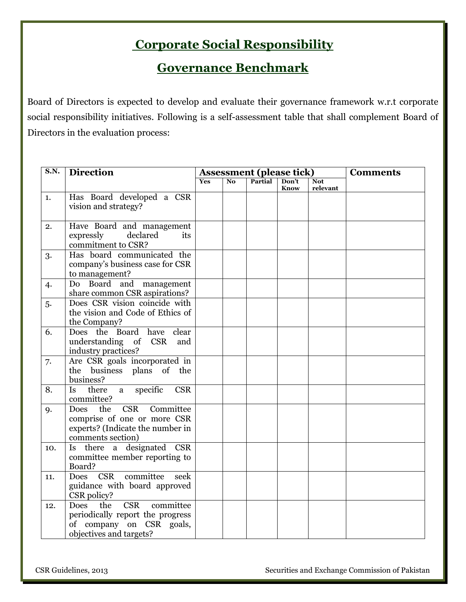# **Corporate Social Responsibility**

## **Governance Benchmark**

Board of Directors is expected to develop and evaluate their governance framework w.r.t corporate social responsibility initiatives. Following is a self-assessment table that shall complement Board of Directors in the evaluation process:

| S.N. | <b>Direction</b>                                                                                                                         | <b>Assessment (please tick)</b> |                |         |               | <b>Comments</b>        |  |
|------|------------------------------------------------------------------------------------------------------------------------------------------|---------------------------------|----------------|---------|---------------|------------------------|--|
|      |                                                                                                                                          | Yes                             | N <sub>o</sub> | Partial | Don't<br>Know | <b>Not</b><br>relevant |  |
| 1.   | Has Board developed a CSR<br>vision and strategy?                                                                                        |                                 |                |         |               |                        |  |
| 2.   | Have Board and management<br>declared<br>expressly<br>its<br>commitment to CSR?                                                          |                                 |                |         |               |                        |  |
| 3.   | Has board communicated the<br>company's business case for CSR<br>to management?                                                          |                                 |                |         |               |                        |  |
| 4.   | Do Board and management<br>share common CSR aspirations?                                                                                 |                                 |                |         |               |                        |  |
| 5.   | Does CSR vision coincide with<br>the vision and Code of Ethics of<br>the Company?                                                        |                                 |                |         |               |                        |  |
| 6.   | Does the<br>Board<br>have<br>clear<br>understanding of<br><b>CSR</b><br>and<br>industry practices?                                       |                                 |                |         |               |                        |  |
| 7.   | Are CSR goals incorporated in<br>the business plans of the<br>business?                                                                  |                                 |                |         |               |                        |  |
| 8.   | specific<br><b>CSR</b><br>there<br><b>Is</b><br>a<br>committee?                                                                          |                                 |                |         |               |                        |  |
| 9.   | <b>CSR</b><br>the<br>Committee<br><b>Does</b><br>comprise of one or more CSR<br>experts? (Indicate the number in<br>comments section)    |                                 |                |         |               |                        |  |
| 10.  | designated<br>there<br>a<br><b>CSR</b><br><b>Is</b><br>committee member reporting to<br>Board?                                           |                                 |                |         |               |                        |  |
| 11.  | <b>Does</b><br><b>CSR</b><br>committee<br>seek<br>guidance with board approved<br>CSR policy?                                            |                                 |                |         |               |                        |  |
| 12.  | the<br><b>CSR</b><br>committee<br><b>Does</b><br>periodically report the progress<br>of company on CSR goals,<br>objectives and targets? |                                 |                |         |               |                        |  |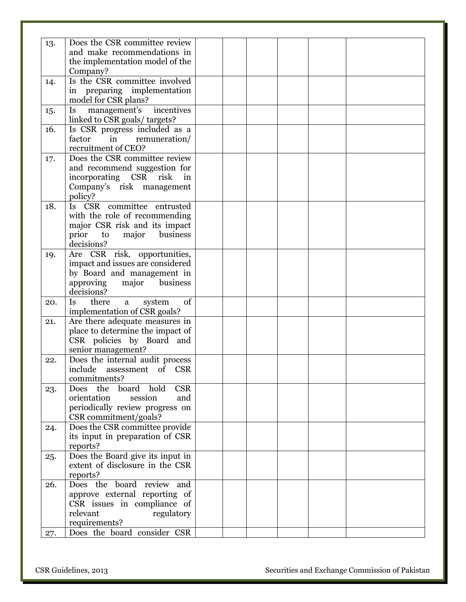| 13. | Does the CSR committee review           |  |  |  |
|-----|-----------------------------------------|--|--|--|
|     | and make recommendations in             |  |  |  |
|     | the implementation model of the         |  |  |  |
|     | Company?                                |  |  |  |
| 14. | Is the CSR committee involved           |  |  |  |
|     | in preparing implementation             |  |  |  |
|     | model for CSR plans?                    |  |  |  |
| 15. | Is<br>management's incentives           |  |  |  |
|     | linked to CSR goals/ targets?           |  |  |  |
| 16. | Is CSR progress included as a           |  |  |  |
|     | factor<br>remuneration/<br>in           |  |  |  |
|     | recruitment of CEO?                     |  |  |  |
|     |                                         |  |  |  |
| 17. | Does the CSR committee review           |  |  |  |
|     | and recommend suggestion for            |  |  |  |
|     | incorporating CSR risk<br>in            |  |  |  |
|     | Company's risk management               |  |  |  |
|     | policy?                                 |  |  |  |
| 18. | Is CSR committee entrusted              |  |  |  |
|     | with the role of recommending           |  |  |  |
|     | major CSR risk and its impact           |  |  |  |
|     | business<br>prior<br>major<br>to        |  |  |  |
|     | decisions?                              |  |  |  |
| 19. | Are CSR risk, opportunities,            |  |  |  |
|     | impact and issues are considered        |  |  |  |
|     | by Board and management in              |  |  |  |
|     | approving<br>major<br>business          |  |  |  |
|     | decisions?                              |  |  |  |
| 20. | there<br>of<br><b>Is</b><br>system<br>a |  |  |  |
|     | implementation of CSR goals?            |  |  |  |
| 21. | Are there adequate measures in          |  |  |  |
|     | place to determine the impact of        |  |  |  |
|     | CSR policies by Board and               |  |  |  |
|     | senior management?                      |  |  |  |
| 22. | Does the internal audit process         |  |  |  |
|     | include assessment of CSR               |  |  |  |
|     |                                         |  |  |  |
|     | commitments?                            |  |  |  |
| 23. | <b>CSR</b><br>Does the<br>board<br>hold |  |  |  |
|     | orientation<br>session<br>and           |  |  |  |
|     | periodically review progress on         |  |  |  |
|     | CSR commitment/goals?                   |  |  |  |
| 24. | Does the CSR committee provide          |  |  |  |
|     | its input in preparation of CSR         |  |  |  |
|     | reports?                                |  |  |  |
| 25. | Does the Board give its input in        |  |  |  |
|     | extent of disclosure in the CSR         |  |  |  |
|     | reports?                                |  |  |  |
| 26. | Does the board review and               |  |  |  |
|     | approve external reporting of           |  |  |  |
|     | CSR issues in compliance of             |  |  |  |
|     | relevant<br>regulatory                  |  |  |  |
|     | requirements?                           |  |  |  |
| 27. | Does the board consider CSR             |  |  |  |
|     |                                         |  |  |  |